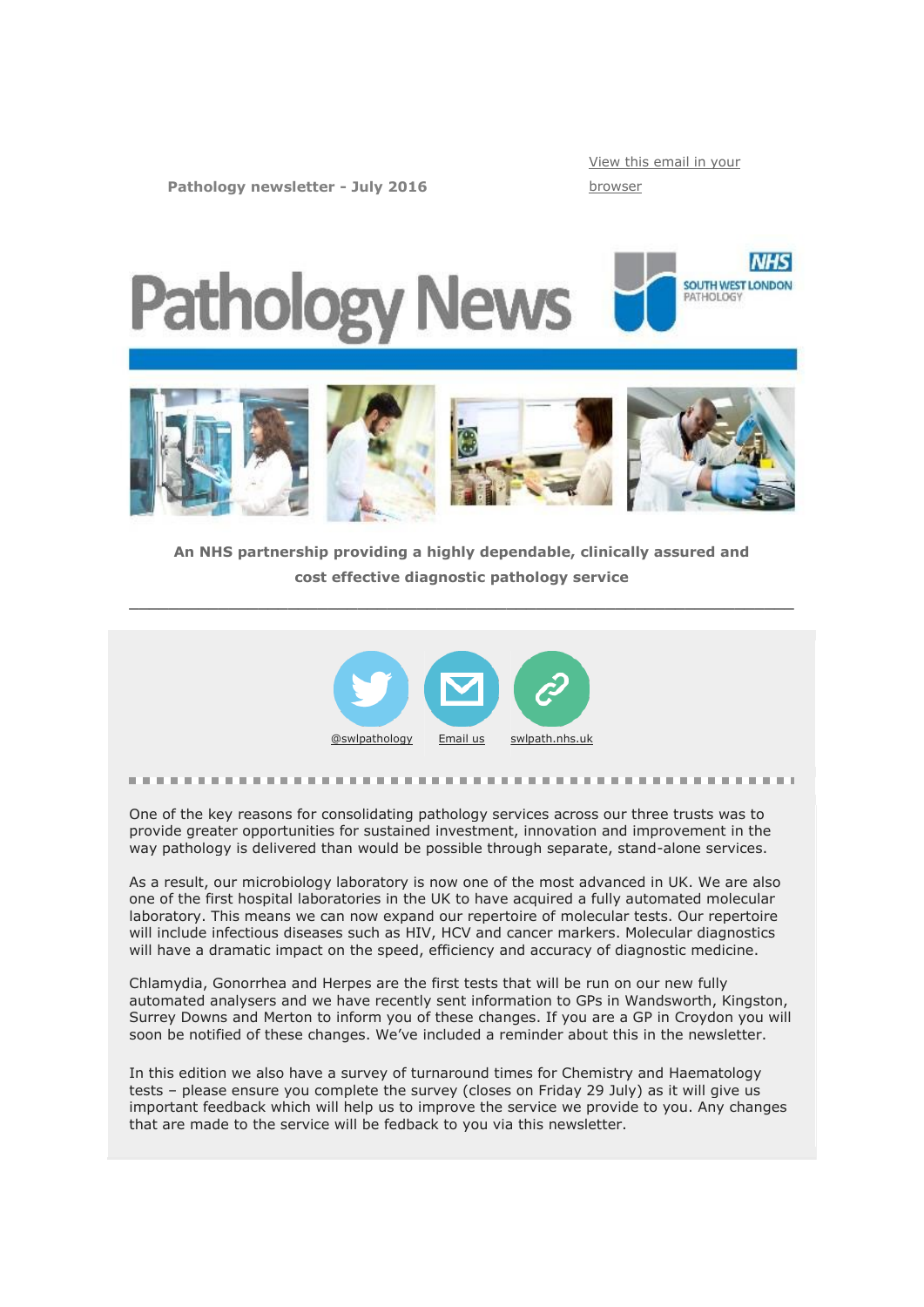**Pathology newsletter - July 2016** 

[View this email in your](http://us12.campaign-archive1.com/?u=98338f7a1ac024c62940d40f8&id=2ca5b609d6&e=%5bUNIQID%5d)  [browser](http://us12.campaign-archive1.com/?u=98338f7a1ac024c62940d40f8&id=2ca5b609d6&e=%5bUNIQID%5d)





**An NHS partnership providing a highly dependable, clinically assured and cost effective diagnostic pathology service**

**\_\_\_\_\_\_\_\_\_\_\_\_\_\_\_\_\_\_\_\_\_\_\_\_\_\_\_\_\_\_\_\_\_\_\_\_\_\_\_\_\_\_\_\_\_\_\_\_\_\_\_\_\_\_\_\_\_\_\_\_\_\_\_\_\_\_\_**



One of the key reasons for consolidating pathology services across our three trusts was to provide greater opportunities for sustained investment, innovation and improvement in the way pathology is delivered than would be possible through separate, stand-alone services.

As a result, our microbiology laboratory is now one of the most advanced in UK. We are also one of the first hospital laboratories in the UK to have acquired a fully automated molecular laboratory. This means we can now expand our repertoire of molecular tests. Our repertoire will include infectious diseases such as HIV, HCV and cancer markers. Molecular diagnostics will have a dramatic impact on the speed, efficiency and accuracy of diagnostic medicine.

Chlamydia, Gonorrhea and Herpes are the first tests that will be run on our new fully automated analysers and we have recently sent information to GPs in Wandsworth, Kingston, Surrey Downs and Merton to inform you of these changes. If you are a GP in Croydon you will soon be notified of these changes. We've included a reminder about this in the newsletter.

In this edition we also have a survey of turnaround times for Chemistry and Haematology tests – please ensure you complete the survey (closes on Friday 29 July) as it will give us important feedback which will help us to improve the service we provide to you. Any changes that are made to the service will be fedback to you via this newsletter.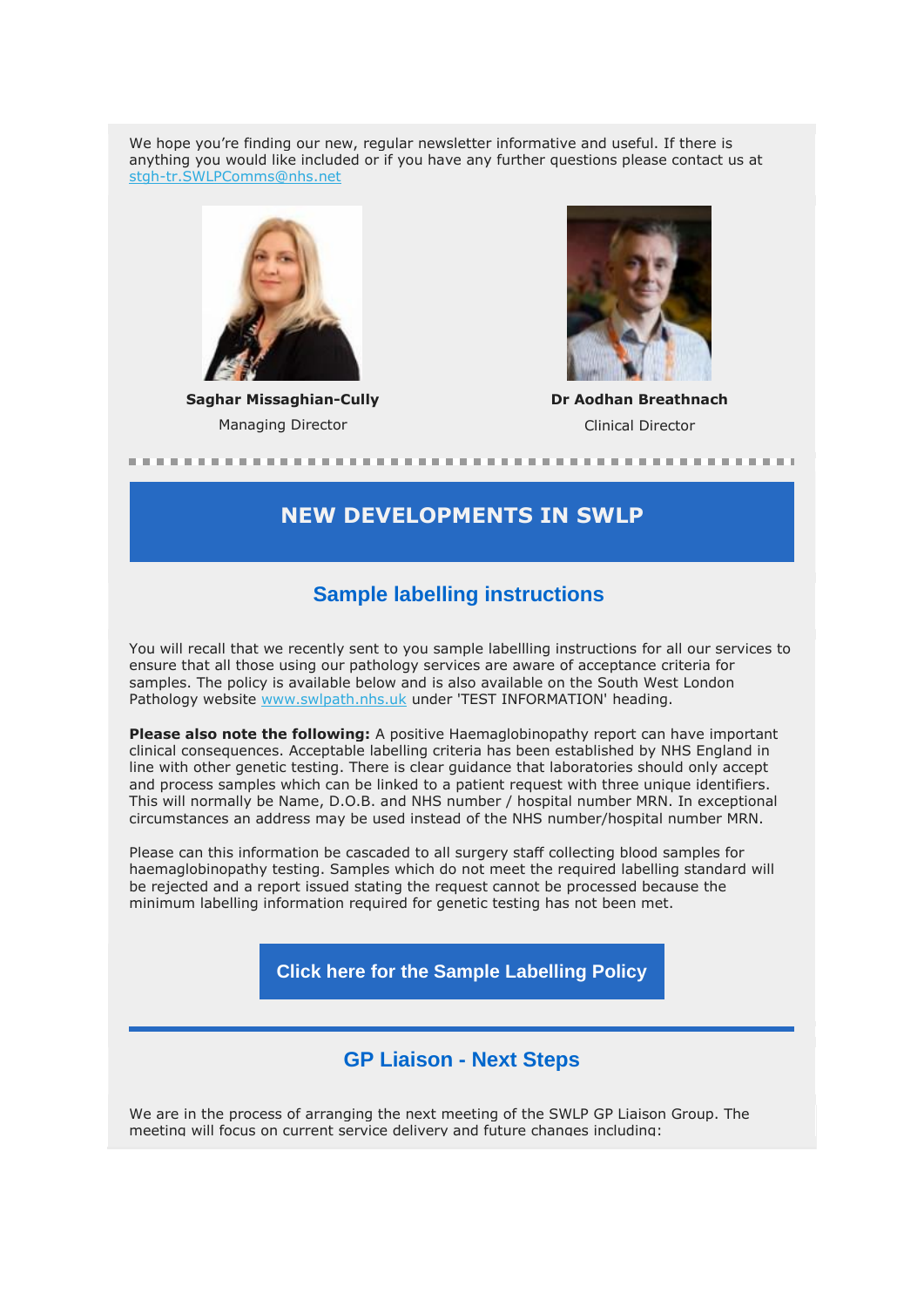We hope you're finding our new, regular newsletter informative and useful. If there is anything you would like included or if you have any further questions please contact us at [stgh-tr.SWLPComms@nhs.net](mailto:stgh-tr.SWLPComms@nhs.net)



**Saghar Missaghian-Cully** Managing Director



**Dr Aodhan Breathnach** Clinical Director

. . . . . . . . . . . . .

## **NEW DEVELOPMENTS IN SWLP**

## **Sample labelling instructions**

You will recall that we recently sent to you sample labellling instructions for all our services to ensure that all those using our pathology services are aware of acceptance criteria for samples. The policy is available below and is also available on the South West London Pathology website [www.swlpath.nhs.uk](http://www.swlpath.nhs.uk/) under 'TEST INFORMATION' heading.

**Please also note the following:** A positive Haemaglobinopathy report can have important clinical consequences. Acceptable labelling criteria has been established by NHS England in line with other genetic testing. There is clear guidance that laboratories should only accept and process samples which can be linked to a patient request with three unique identifiers. This will normally be Name, D.O.B. and NHS number / hospital number MRN. In exceptional circumstances an address may be used instead of the NHS number/hospital number MRN.

Please can this information be cascaded to all surgery staff collecting blood samples for haemaglobinopathy testing. Samples which do not meet the required labelling standard will be rejected and a report issued stating the request cannot be processed because the minimum labelling information required for genetic testing has not been met.

**[Click here for the Sample Labelling Policy](https://gallery.mailchimp.com/98338f7a1ac024c62940d40f8/files/Pathology_requests_and_sample_labelling_policy_V_1_0.01.docx)**

## **GP Liaison - Next Steps**

We are in the process of arranging the next meeting of the SWLP GP Liaison Group. The meeting will focus on current service delivery and future changes including: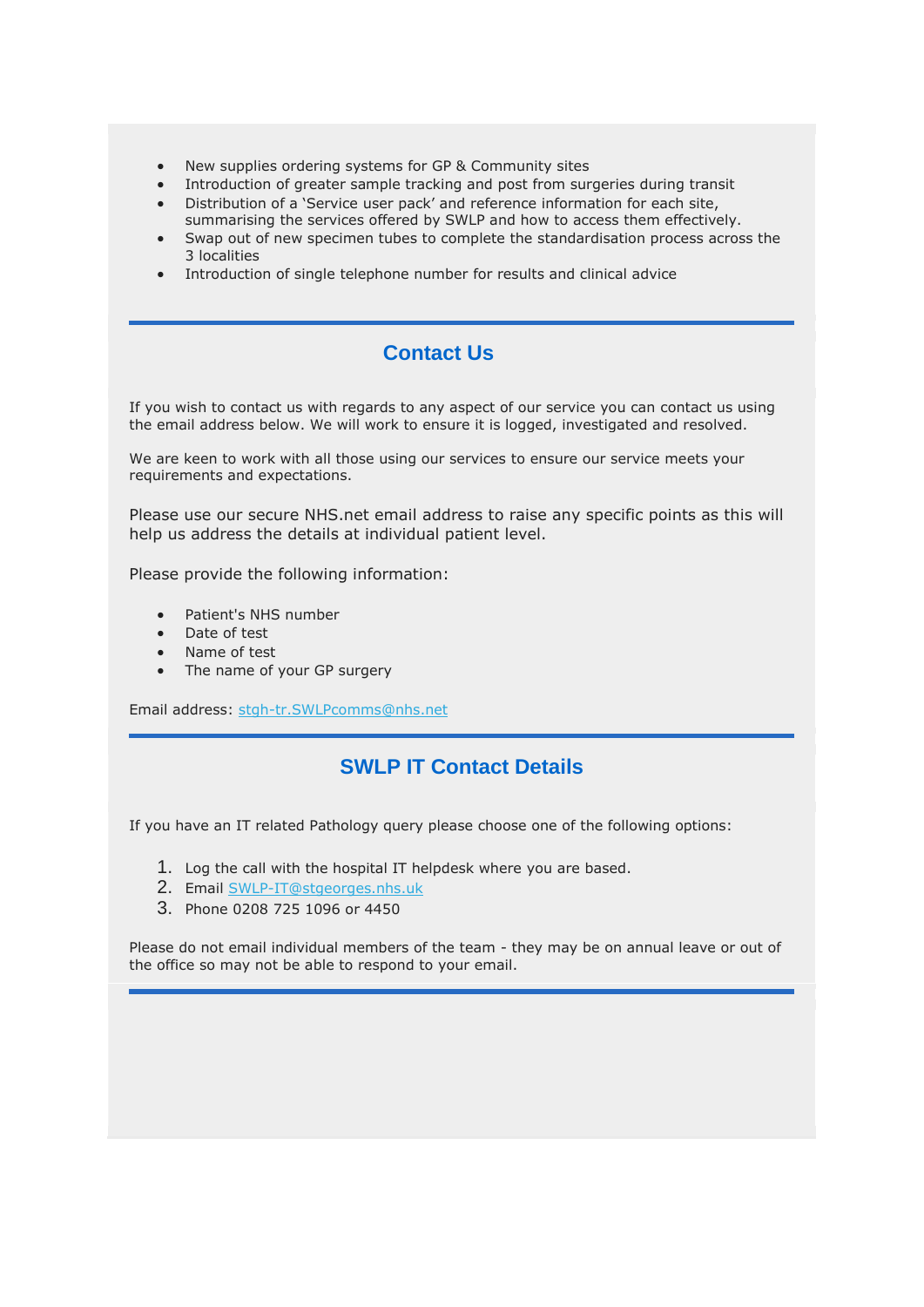- New supplies ordering systems for GP & Community sites
- Introduction of greater sample tracking and post from surgeries during transit
- Distribution of a 'Service user pack' and reference information for each site,
- summarising the services offered by SWLP and how to access them effectively. Swap out of new specimen tubes to complete the standardisation process across the 3 localities
- Introduction of single telephone number for results and clinical advice

## **Contact Us**

If you wish to contact us with regards to any aspect of our service you can contact us using the email address below. We will work to ensure it is logged, investigated and resolved.

We are keen to work with all those using our services to ensure our service meets your requirements and expectations.

Please use our secure NHS.net email address to raise any specific points as this will help us address the details at individual patient level.

Please provide the following information:

- Patient's NHS number
- Date of test
- Name of test
- The name of your GP surgery

Email address: [stgh-tr.SWLPcomms@nhs.net](mailto:stgh-tr.SWLPcomms@nhs.net)

## **SWLP IT Contact Details**

If you have an IT related Pathology query please choose one of the following options:

- 1. Log the call with the hospital IT helpdesk where you are based.
- 2. Email [SWLP-IT@stgeorges.nhs.uk](mailto:SWLP-IT@stgeorges.nhs.uk)
- 3. Phone 0208 725 1096 or 4450

Please do not email individual members of the team - they may be on annual leave or out of the office so may not be able to respond to your email.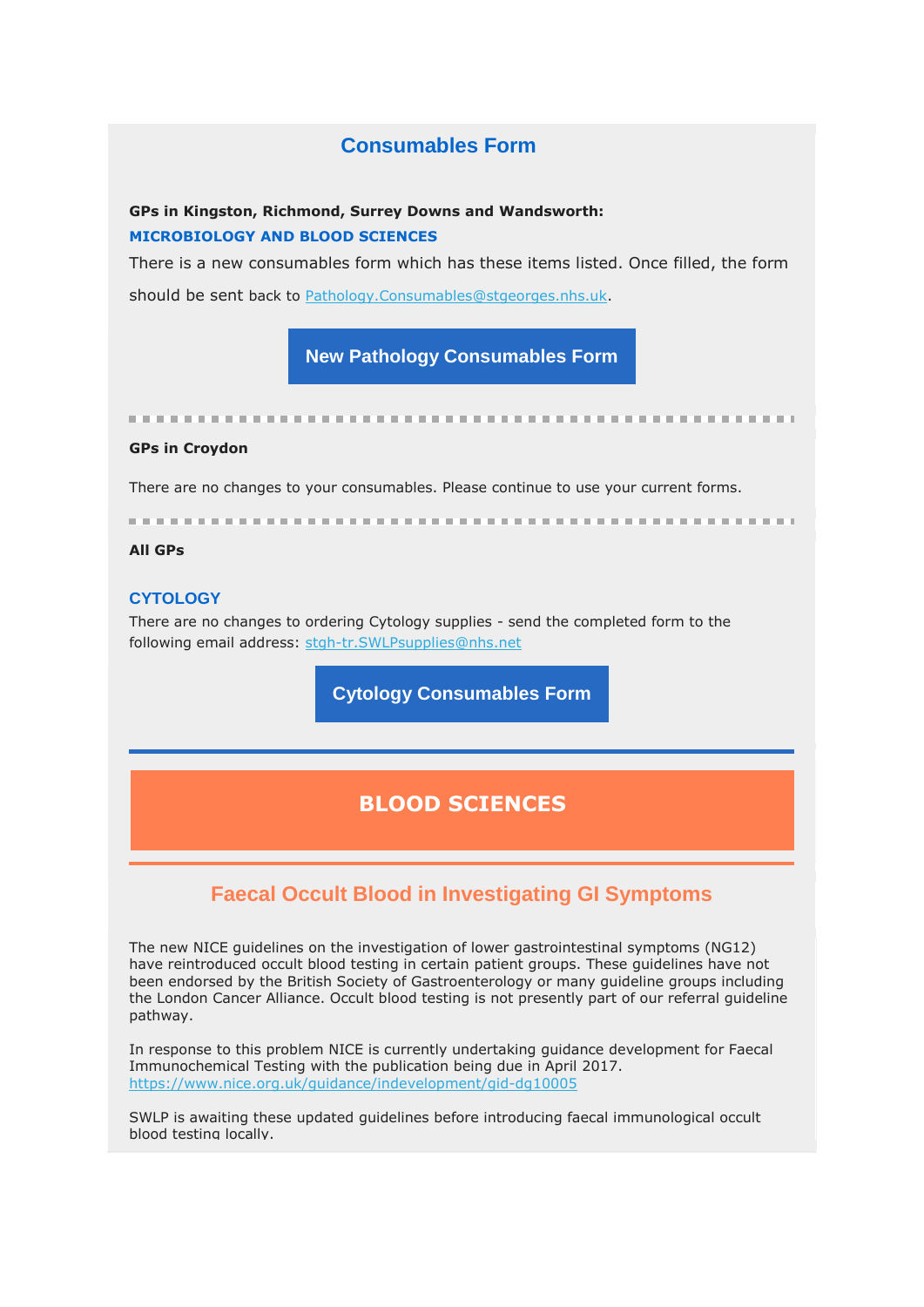### **Consumables Form**

**GPs in Kingston, Richmond, Surrey Downs and Wandsworth: MICROBIOLOGY AND BLOOD SCIENCES**

There is a new consumables form which has these items listed. Once filled, the form should be sent back to [Pathology.Consumables@stgeorges.nhs.uk.](mailto:Pathology.Consumables@stgeorges.nhs.uk)

**[New Pathology Consumables Form](https://gallery.mailchimp.com/98338f7a1ac024c62940d40f8/files/New_GP_consumables_form_July_2016.xlsx)**

**GPs in Croydon**

There are no changes to your consumables. Please continue to use your current forms.

#### **All GPs**

#### **CYTOLOGY**

There are no changes to ordering Cytology supplies - send the completed form to the following email address: [stgh-tr.SWLPsupplies@nhs.net](mailto:stgh-tr.SWLPsupplies@nhs.net)

**[Cytology Consumables Form](https://gallery.mailchimp.com/98338f7a1ac024c62940d40f8/files/Cytology_Consumable_Stock_Request_Form_FRM_050_18_July_2016.docx)**

## **BLOOD SCIENCES**

### **Faecal Occult Blood in Investigating GI Symptoms**

The new NICE guidelines on the investigation of lower gastrointestinal symptoms (NG12) have reintroduced occult blood testing in certain patient groups. These guidelines have not been endorsed by the British Society of Gastroenterology or many guideline groups including the London Cancer Alliance. Occult blood testing is not presently part of our referral guideline pathway.

In response to this problem NICE is currently undertaking guidance development for Faecal Immunochemical Testing with the publication being due in April 2017. <https://www.nice.org.uk/guidance/indevelopment/gid-dg10005>

SWLP is awaiting these updated guidelines before introducing faecal immunological occult blood testing locally.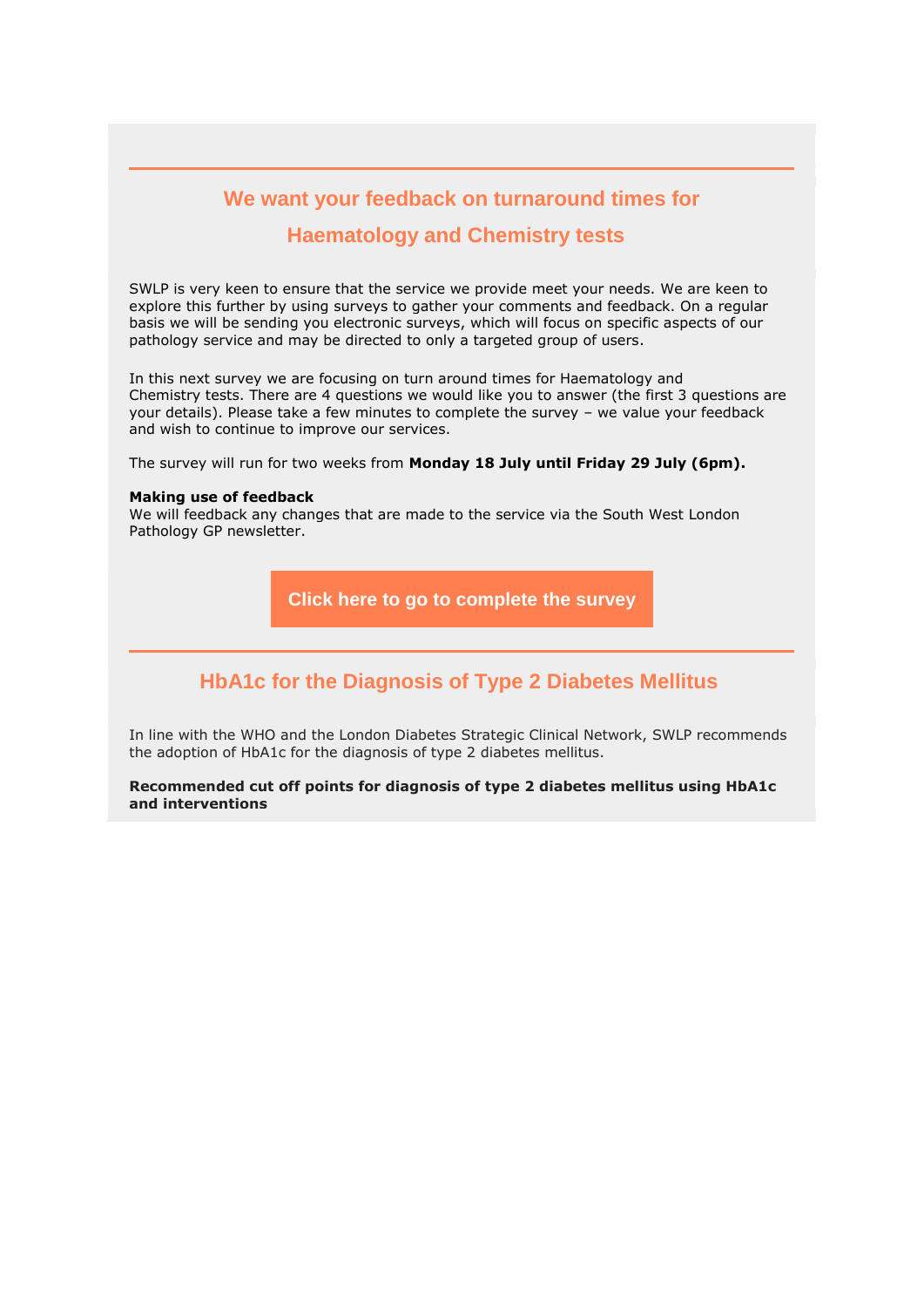### **We want your feedback on turnaround times for**

### **Haematology and Chemistry tests**

SWLP is very keen to ensure that the service we provide meet your needs. We are keen to explore this further by using surveys to gather your comments and feedback. On a regular basis we will be sending you electronic surveys, which will focus on specific aspects of our pathology service and may be directed to only a targeted group of users.

In this next survey we are focusing on turn around times for Haematology and Chemistry tests. There are 4 questions we would like you to answer (the first 3 questions are your details). Please take a few minutes to complete the survey – we value your feedback and wish to continue to improve our services.

The survey will run for two weeks from **Monday 18 July until Friday 29 July (6pm).**

#### **Making use of feedback**

We will feedback any changes that are made to the service via the South West London Pathology GP newsletter.

**[Click here to go to complete the survey](https://www.surveymonkey.co.uk/r/56N8YSZ)** 

## **HbA1c for the Diagnosis of Type 2 Diabetes Mellitus**

In line with the WHO and the London Diabetes Strategic Clinical Network, SWLP recommends the adoption of HbA1c for the diagnosis of type 2 diabetes mellitus.

**Recommended cut off points for diagnosis of type 2 diabetes mellitus using HbA1c and interventions**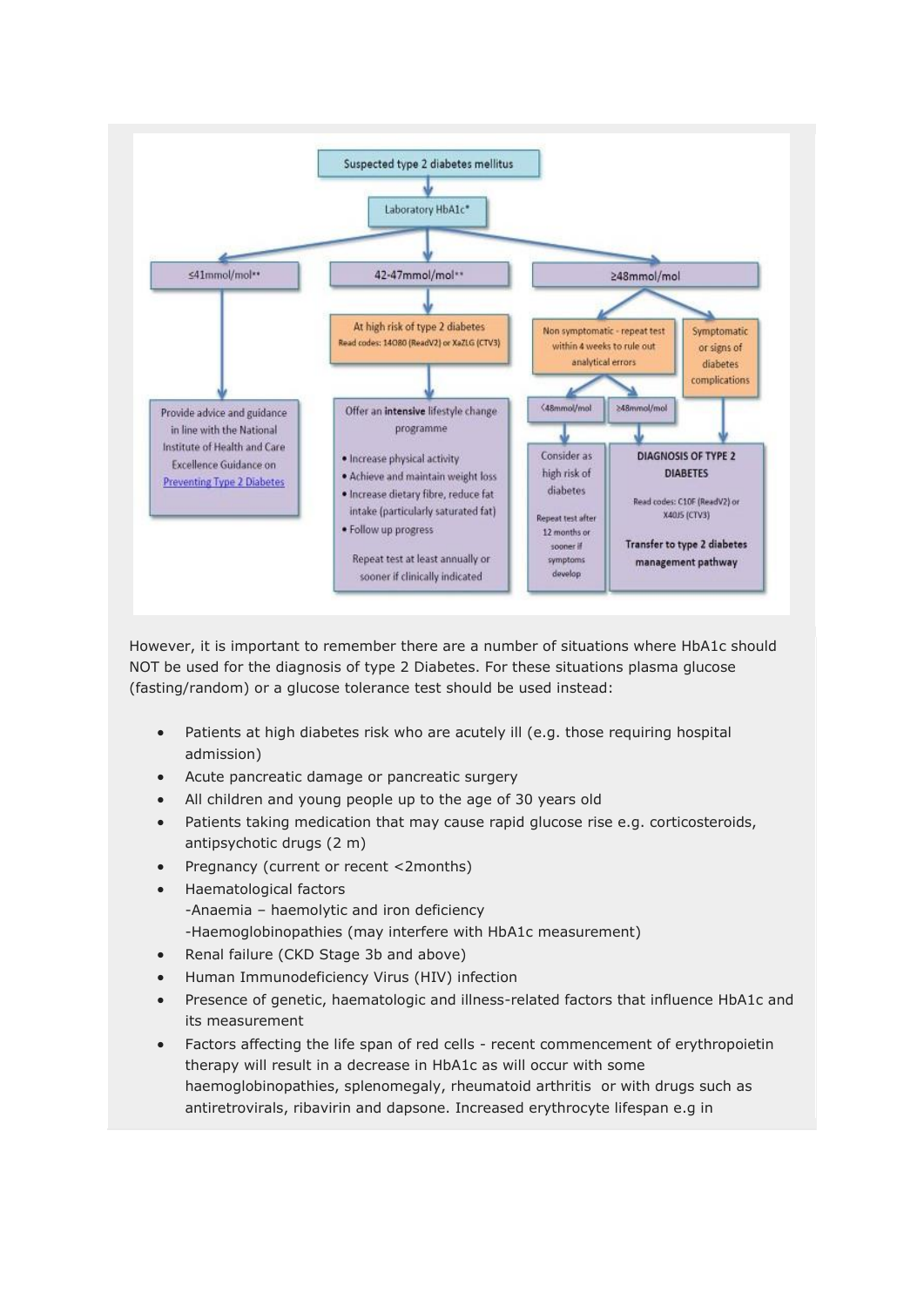

However, it is important to remember there are a number of situations where HbA1c should NOT be used for the diagnosis of type 2 Diabetes. For these situations plasma glucose (fasting/random) or a glucose tolerance test should be used instead:

- Patients at high diabetes risk who are acutely ill (e.g. those requiring hospital admission)
- Acute pancreatic damage or pancreatic surgery
- All children and young people up to the age of 30 years old
- Patients taking medication that may cause rapid glucose rise e.g. corticosteroids, antipsychotic drugs (2 m)
- Pregnancy (current or recent <2months)
- Haematological factors -Anaemia – haemolytic and iron deficiency -Haemoglobinopathies (may interfere with HbA1c measurement)
- Renal failure (CKD Stage 3b and above)
- Human Immunodeficiency Virus (HIV) infection
- Presence of genetic, haematologic and illness-related factors that influence HbA1c and its measurement
- Factors affecting the life span of red cells recent commencement of erythropoietin therapy will result in a decrease in HbA1c as will occur with some haemoglobinopathies, splenomegaly, rheumatoid arthritis or with drugs such as antiretrovirals, ribavirin and dapsone. Increased erythrocyte lifespan e.g in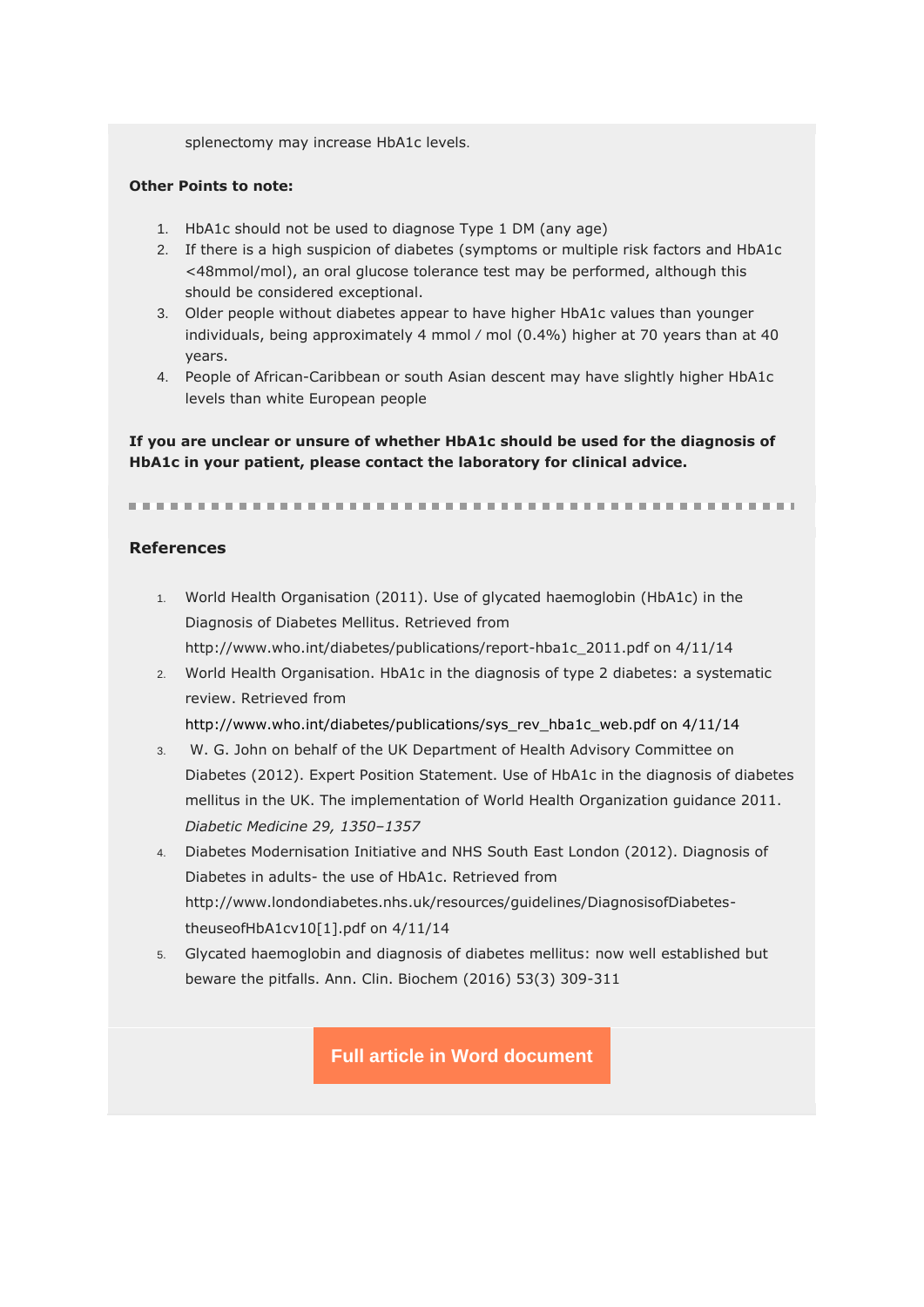splenectomy may increase HbA1c levels.

#### **Other Points to note:**

- 1. HbA1c should not be used to diagnose Type 1 DM (any age)
- 2. If there is a high suspicion of diabetes (symptoms or multiple risk factors and HbA1c <48mmol/mol), an oral glucose tolerance test may be performed, although this should be considered exceptional.
- 3. Older people without diabetes appear to have higher HbA1c values than younger individuals, being approximately 4 mmol ⁄ mol (0.4%) higher at 70 years than at 40 years.
- 4. People of African-Caribbean or south Asian descent may have slightly higher HbA1c levels than white European people

**If you are unclear or unsure of whether HbA1c should be used for the diagnosis of HbA1c in your patient, please contact the laboratory for clinical advice.**

#### **References**

- 1. World Health Organisation (2011). Use of glycated haemoglobin (HbA1c) in the Diagnosis of Diabetes Mellitus. Retrieved from http://www.who.int/diabetes/publications/report-hba1c\_2011.pdf on 4/11/14
- 2. World Health Organisation. HbA1c in the diagnosis of type 2 diabetes: a systematic review. Retrieved from http://www.who.int/diabetes/publications/sys\_rev\_hba1c\_web.pdf on 4/11/14
- 3. W. G. John on behalf of the UK Department of Health Advisory Committee on Diabetes (2012). Expert Position Statement. Use of HbA1c in the diagnosis of diabetes mellitus in the UK. The implementation of World Health Organization guidance 2011. *Diabetic Medicine 29, 1350–1357*
- 4. Diabetes Modernisation Initiative and NHS South East London (2012). Diagnosis of Diabetes in adults- the use of HbA1c. Retrieved from http://www.londondiabetes.nhs.uk/resources/guidelines/DiagnosisofDiabetestheuseofHbA1cv10[1].pdf on 4/11/14
- 5. Glycated haemoglobin and diagnosis of diabetes mellitus: now well established but beware the pitfalls. Ann. Clin. Biochem (2016) 53(3) 309-311

**[Full article in Word document](https://gallery.mailchimp.com/98338f7a1ac024c62940d40f8/files/HbA1c_for_the_Diagnosis_of_Type_II_Diabetes_Mellitus.01.docx)**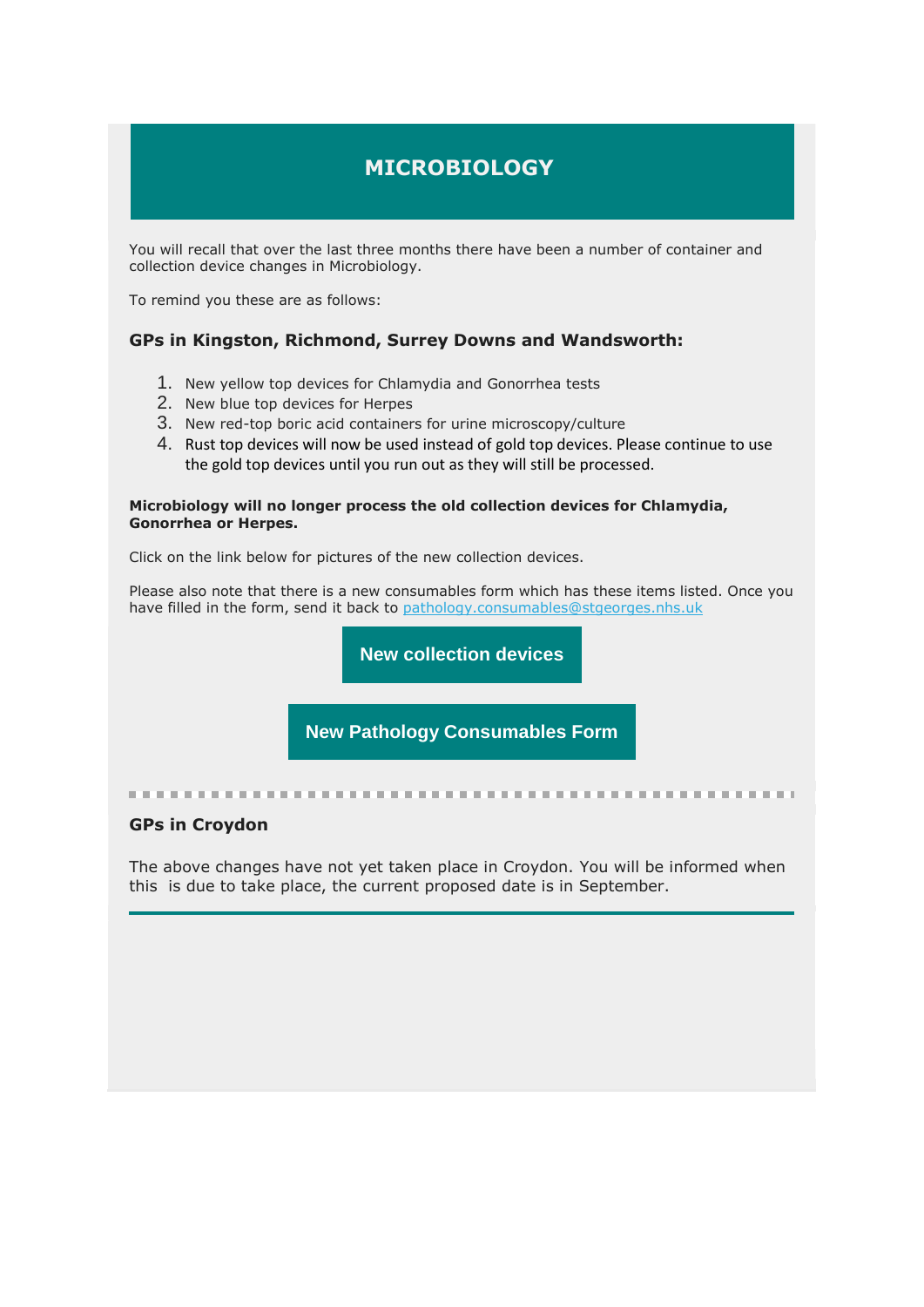## **MICROBIOLOGY**

You will recall that over the last three months there have been a number of container and collection device changes in Microbiology.

To remind you these are as follows:

#### **GPs in Kingston, Richmond, Surrey Downs and Wandsworth:**

- 1. New yellow top devices for Chlamydia and Gonorrhea tests
- 2. New blue top devices for Herpes
- 3. New red-top boric acid containers for urine microscopy/culture
- 4. Rust top devices will now be used instead of gold top devices. Please continue to use the gold top devices until you run out as they will still be processed.

#### **Microbiology will no longer process the old collection devices for Chlamydia, Gonorrhea or Herpes.**

Click on the link below for pictures of the new collection devices.

Please also note that there is a new consumables form which has these items listed. Once you have filled in the form, send it back to [pathology.consumables@stgeorges.nhs.uk](mailto:pathology.consumables@stgeorges.nhs.uk)

**[New collection devices](https://gallery.mailchimp.com/98338f7a1ac024c62940d40f8/files/Collection_devices_GP_newsletter_July_2016.pdf)** 

**[New Pathology Consumables Form](https://gallery.mailchimp.com/98338f7a1ac024c62940d40f8/files/New_GP_consumables_form_July_2016.xlsx)**

. . . . . . . . . . . . . . . . .

#### **GPs in Croydon**

The above changes have not yet taken place in Croydon. You will be informed when this is due to take place, the current proposed date is in September.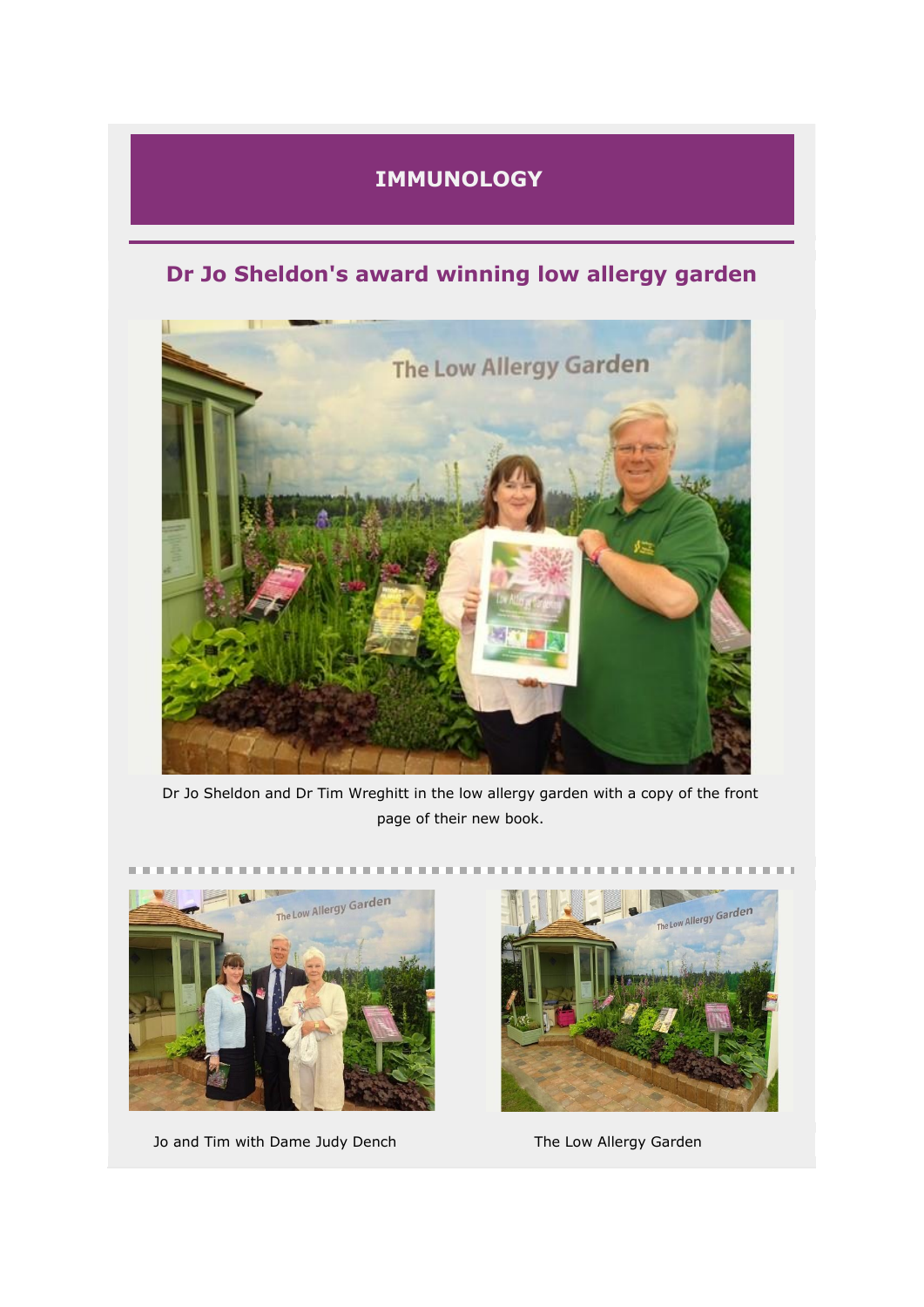## **IMMUNOLOGY**

# **Dr Jo Sheldon's award winning low allergy garden**



Dr Jo Sheldon and Dr Tim Wreghitt in the low allergy garden with a copy of the front page of their new book.



Jo and Tim with Dame Judy Dench The Low Allergy Garden

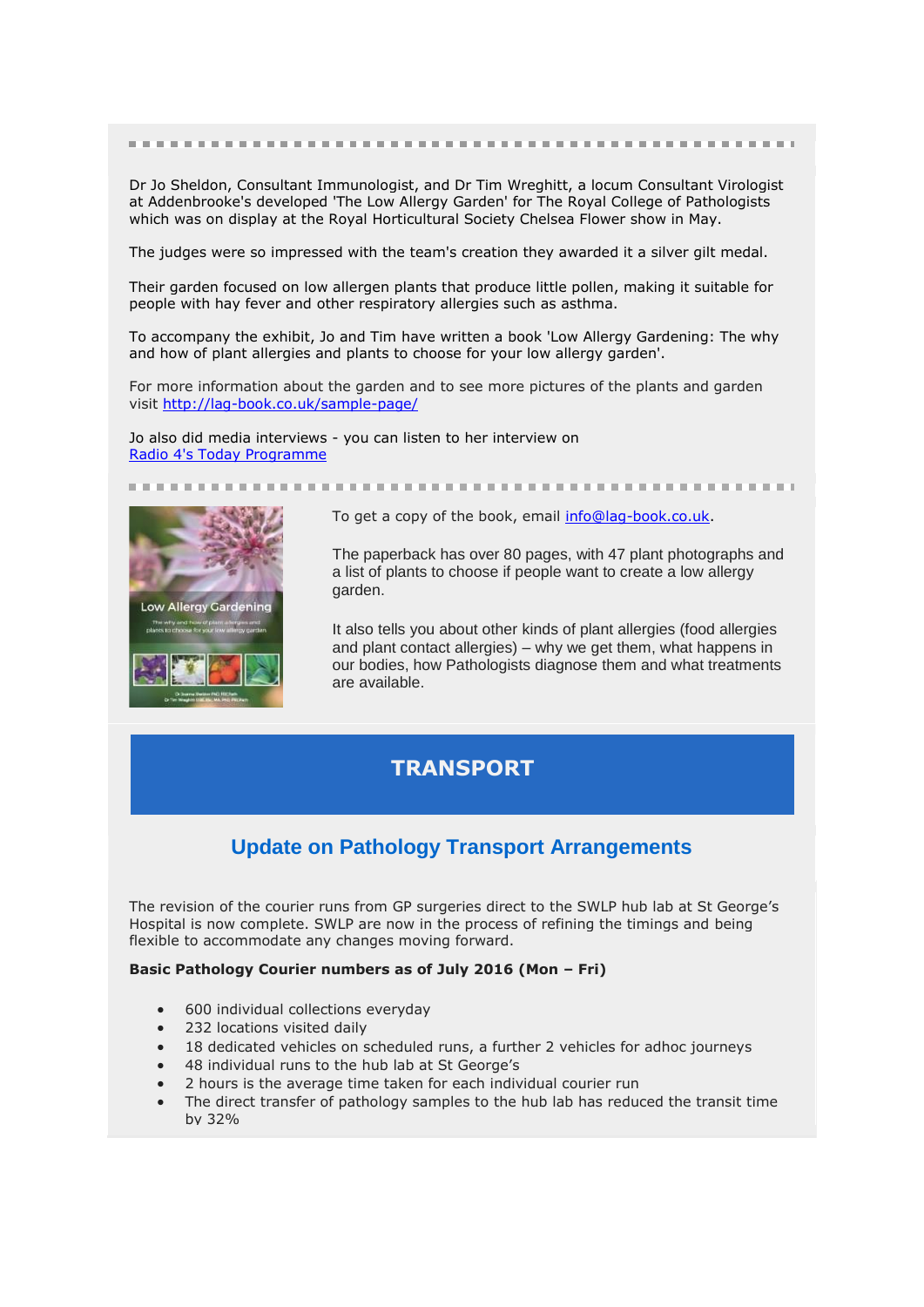Dr Jo Sheldon, Consultant Immunologist, and Dr Tim Wreghitt, a locum Consultant Virologist at Addenbrooke's developed 'The Low Allergy Garden' for The Royal College of Pathologists which was on display at the Royal Horticultural Society Chelsea Flower show in May.

The judges were so impressed with the team's creation they awarded it a silver gilt medal.

Their garden focused on low allergen plants that produce little pollen, making it suitable for people with hay fever and other respiratory allergies such as asthma.

To accompany the exhibit, Jo and Tim have written a book 'Low Allergy Gardening: The why and how of plant allergies and plants to choose for your low allergy garden'.

For more information about the garden and to see more pictures of the plants and garden visit [http://lag-book.co.uk/sample-page/](http://www.bbc.co.uk/programmes/p03w03gl)

Jo also did media interviews - you can listen to her interview on [Radio 4's Today Programme](http://www.bbc.co.uk/programmes/p03w03gl) 



To get a copy of the book, email [info@lag-book.co.uk.](mailto:info@lag-book.co.uk)

The paperback has over 80 pages, with 47 plant photographs and a list of plants to choose if people want to create a low allergy garden.

It also tells you about other kinds of plant allergies (food allergies and plant contact allergies) – why we get them, what happens in our bodies, how Pathologists diagnose them and what treatments are available.

## **TRANSPORT**

## **Update on Pathology Transport Arrangements**

The revision of the courier runs from GP surgeries direct to the SWLP hub lab at St George's Hospital is now complete. SWLP are now in the process of refining the timings and being flexible to accommodate any changes moving forward.

#### **Basic Pathology Courier numbers as of July 2016 (Mon – Fri)**

- 600 individual collections everyday
- 232 locations visited daily
- 18 dedicated vehicles on scheduled runs, a further 2 vehicles for adhoc journeys
- 48 individual runs to the hub lab at St George's
- 2 hours is the average time taken for each individual courier run
- The direct transfer of pathology samples to the hub lab has reduced the transit time by 32%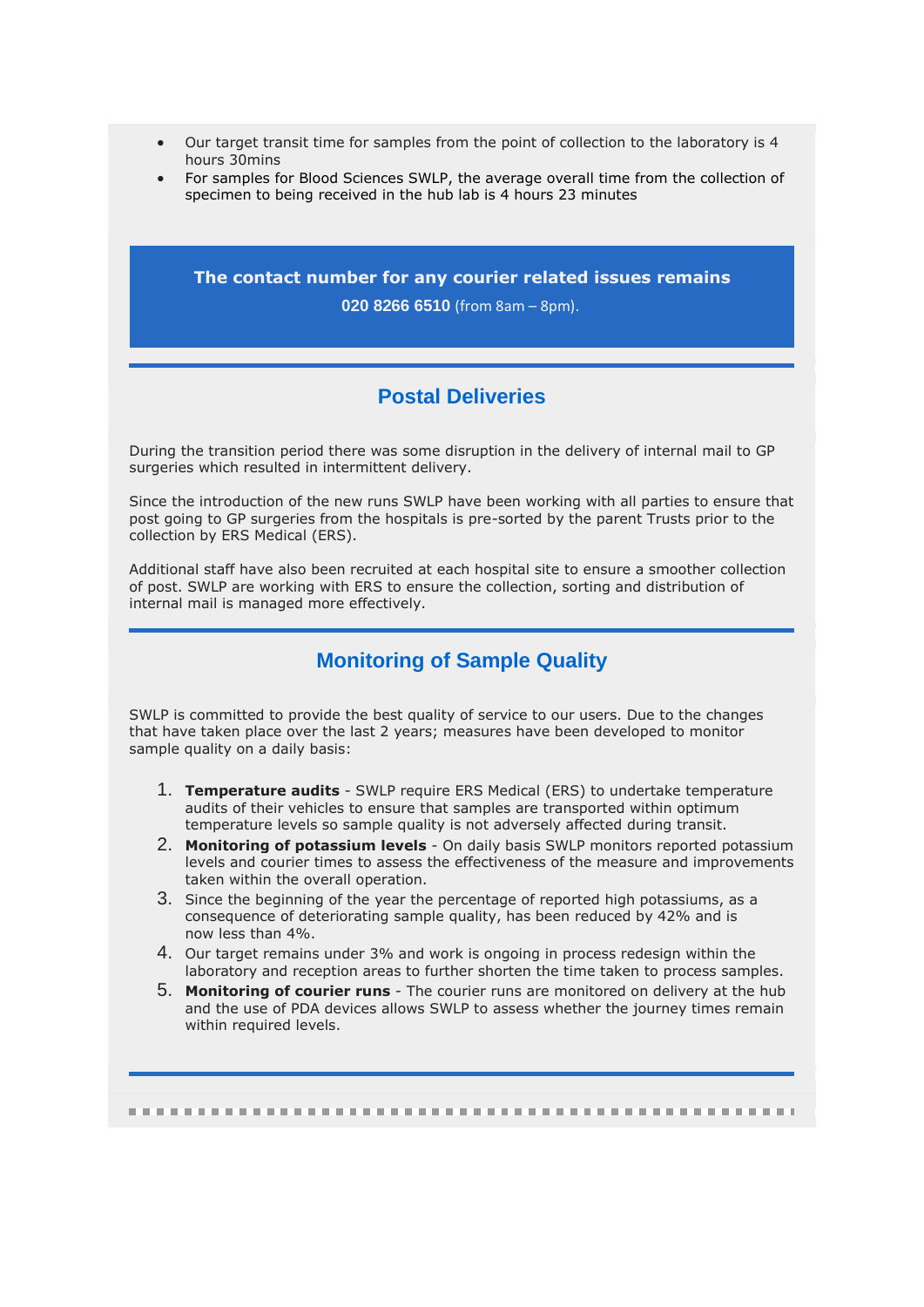- Our target transit time for samples from the point of collection to the laboratory is 4 hours 30mins
- For samples for Blood Sciences SWLP, the average overall time from the collection of specimen to being received in the hub lab is 4 hours 23 minutes

**The contact number for any courier related issues remains** 

**020 8266 6510** (from 8am – 8pm).

## **Postal Deliveries**

During the transition period there was some disruption in the delivery of internal mail to GP surgeries which resulted in intermittent delivery.

Since the introduction of the new runs SWLP have been working with all parties to ensure that post going to GP surgeries from the hospitals is pre-sorted by the parent Trusts prior to the collection by ERS Medical (ERS).

Additional staff have also been recruited at each hospital site to ensure a smoother collection of post. SWLP are working with ERS to ensure the collection, sorting and distribution of internal mail is managed more effectively.

## **Monitoring of Sample Quality**

SWLP is committed to provide the best quality of service to our users. Due to the changes that have taken place over the last 2 years; measures have been developed to monitor sample quality on a daily basis:

- 1. **Temperature audits**  SWLP require ERS Medical (ERS) to undertake temperature audits of their vehicles to ensure that samples are transported within optimum temperature levels so sample quality is not adversely affected during transit.
- 2. **Monitoring of potassium levels**  On daily basis SWLP monitors reported potassium levels and courier times to assess the effectiveness of the measure and improvements taken within the overall operation.
- 3. Since the beginning of the year the percentage of reported high potassiums, as a consequence of deteriorating sample quality, has been reduced by 42% and is now less than 4%.
- 4. Our target remains under 3% and work is ongoing in process redesign within the laboratory and reception areas to further shorten the time taken to process samples.
- 5. **Monitoring of courier runs**  The courier runs are monitored on delivery at the hub and the use of PDA devices allows SWLP to assess whether the journey times remain within required levels.